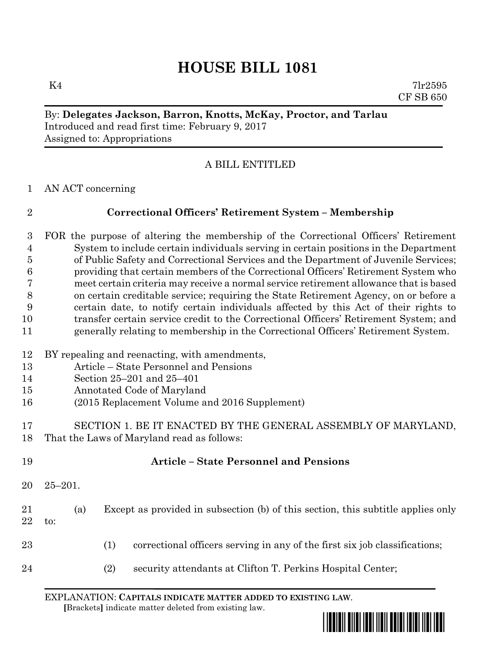# **HOUSE BILL 1081**

 $K4$  7lr2595 CF SB 650

#### By: **Delegates Jackson, Barron, Knotts, McKay, Proctor, and Tarlau** Introduced and read first time: February 9, 2017 Assigned to: Appropriations

# A BILL ENTITLED

AN ACT concerning

# **Correctional Officers' Retirement System – Membership**

 FOR the purpose of altering the membership of the Correctional Officers' Retirement System to include certain individuals serving in certain positions in the Department of Public Safety and Correctional Services and the Department of Juvenile Services; providing that certain members of the Correctional Officers' Retirement System who meet certain criteria may receive a normal service retirement allowance that is based on certain creditable service; requiring the State Retirement Agency, on or before a certain date, to notify certain individuals affected by this Act of their rights to transfer certain service credit to the Correctional Officers' Retirement System; and generally relating to membership in the Correctional Officers' Retirement System.

#### BY repealing and reenacting, with amendments,

- Article State Personnel and Pensions
- Section 25–201 and 25–401
- Annotated Code of Maryland
- (2015 Replacement Volume and 2016 Supplement)
- SECTION 1. BE IT ENACTED BY THE GENERAL ASSEMBLY OF MARYLAND, That the Laws of Maryland read as follows:
- **Article – State Personnel and Pensions** 25–201.
- (a) Except as provided in subsection (b) of this section, this subtitle applies only to:
- (1) correctional officers serving in any of the first six job classifications;
- (2) security attendants at Clifton T. Perkins Hospital Center;

EXPLANATION: **CAPITALS INDICATE MATTER ADDED TO EXISTING LAW**.  **[**Brackets**]** indicate matter deleted from existing law.

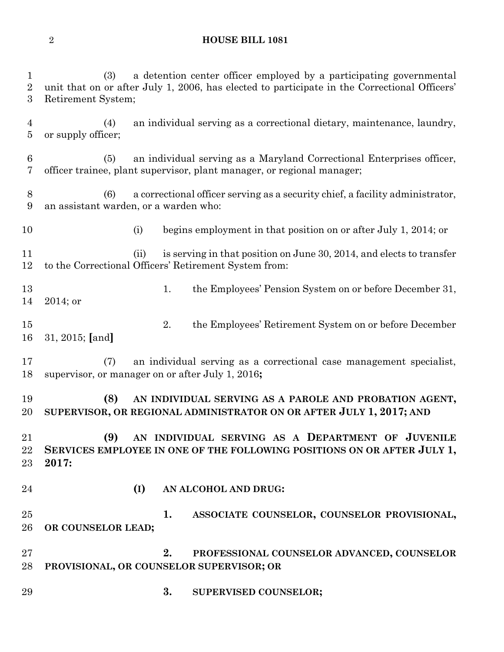#### **HOUSE BILL 1081**

 (3) a detention center officer employed by a participating governmental unit that on or after July 1, 2006, has elected to participate in the Correctional Officers' Retirement System; (4) an individual serving as a correctional dietary, maintenance, laundry, or supply officer; (5) an individual serving as a Maryland Correctional Enterprises officer, officer trainee, plant supervisor, plant manager, or regional manager; (6) a correctional officer serving as a security chief, a facility administrator, an assistant warden, or a warden who: 10 (i) begins employment in that position on or after July 1, 2014; or (ii) is serving in that position on June 30, 2014, and elects to transfer to the Correctional Officers' Retirement System from: 13 1. the Employees' Pension System on or before December 31, 2014; or 2. the Employees' Retirement System on or before December 31, 2015; **[**and**]** (7) an individual serving as a correctional case management specialist, supervisor, or manager on or after July 1, 2016**; (8) AN INDIVIDUAL SERVING AS A PAROLE AND PROBATION AGENT, SUPERVISOR, OR REGIONAL ADMINISTRATOR ON OR AFTER JULY 1, 2017; AND (9) AN INDIVIDUAL SERVING AS A DEPARTMENT OF JUVENILE SERVICES EMPLOYEE IN ONE OF THE FOLLOWING POSITIONS ON OR AFTER JULY 1, 2017: (I) AN ALCOHOL AND DRUG: 1. ASSOCIATE COUNSELOR, COUNSELOR PROVISIONAL, OR COUNSELOR LEAD; 2. PROFESSIONAL COUNSELOR ADVANCED, COUNSELOR PROVISIONAL, OR COUNSELOR SUPERVISOR; OR 3. SUPERVISED COUNSELOR;**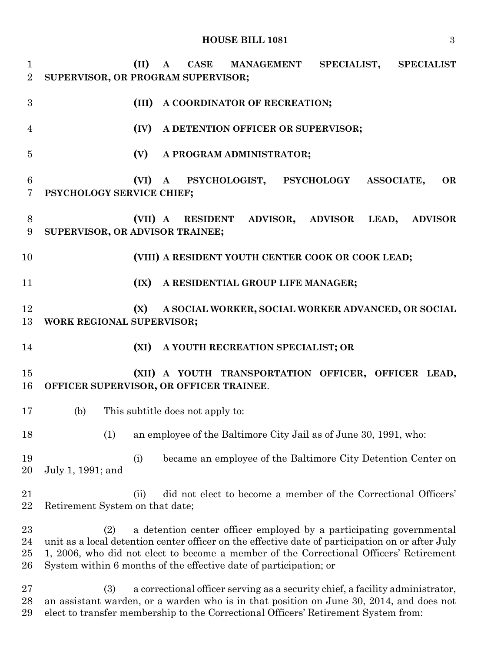**(II) A CASE MANAGEMENT SPECIALIST, SPECIALIST SUPERVISOR, OR PROGRAM SUPERVISOR; (III) A COORDINATOR OF RECREATION; (IV) A DETENTION OFFICER OR SUPERVISOR; (V) A PROGRAM ADMINISTRATOR; (VI) A PSYCHOLOGIST, PSYCHOLOGY ASSOCIATE, OR PSYCHOLOGY SERVICE CHIEF; (VII) A RESIDENT ADVISOR, ADVISOR LEAD, ADVISOR SUPERVISOR, OR ADVISOR TRAINEE; (VIII) A RESIDENT YOUTH CENTER COOK OR COOK LEAD; (IX) A RESIDENTIAL GROUP LIFE MANAGER; (X) A SOCIAL WORKER, SOCIAL WORKER ADVANCED, OR SOCIAL WORK REGIONAL SUPERVISOR; (XI) A YOUTH RECREATION SPECIALIST; OR (XII) A YOUTH TRANSPORTATION OFFICER, OFFICER LEAD, OFFICER SUPERVISOR, OR OFFICER TRAINEE**. (b) This subtitle does not apply to: (1) an employee of the Baltimore City Jail as of June 30, 1991, who: (i) became an employee of the Baltimore City Detention Center on July 1, 1991; and (ii) did not elect to become a member of the Correctional Officers' Retirement System on that date; (2) a detention center officer employed by a participating governmental unit as a local detention center officer on the effective date of participation on or after July 1, 2006, who did not elect to become a member of the Correctional Officers' Retirement System within 6 months of the effective date of participation; or (3) a correctional officer serving as a security chief, a facility administrator, an assistant warden, or a warden who is in that position on June 30, 2014, and does not elect to transfer membership to the Correctional Officers' Retirement System from: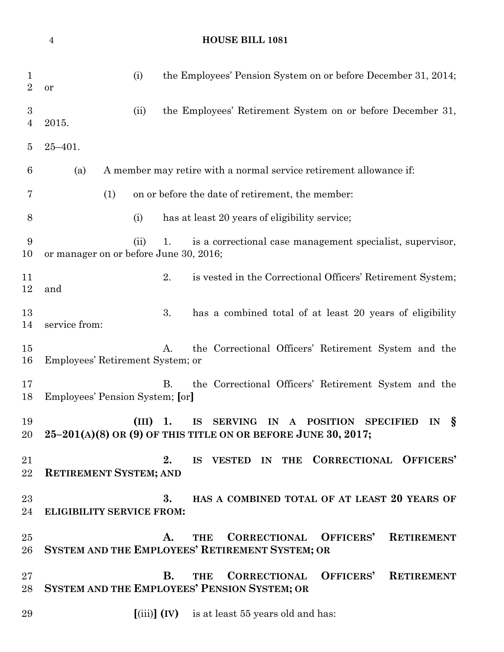# **HOUSE BILL 1081**

| $\perp$<br>$\overline{2}$          | the Employees' Pension System on or before December 31, 2014;<br>(i)<br>or                                                                                                                   |
|------------------------------------|----------------------------------------------------------------------------------------------------------------------------------------------------------------------------------------------|
| $\boldsymbol{3}$<br>$\overline{4}$ | the Employees' Retirement System on or before December 31,<br>(ii)<br>2015.                                                                                                                  |
| 5                                  | $25 - 401.$                                                                                                                                                                                  |
| 6                                  | A member may retire with a normal service retirement allowance if:<br>(a)                                                                                                                    |
| 7                                  | (1)<br>on or before the date of retirement, the member:                                                                                                                                      |
| 8                                  | has at least 20 years of eligibility service;<br>(i)                                                                                                                                         |
| 9<br>10                            | is a correctional case management specialist, supervisor,<br>(ii)<br>1.<br>or manager on or before June 30, 2016;                                                                            |
| 11<br>12                           | 2.<br>is vested in the Correctional Officers' Retirement System;<br>and                                                                                                                      |
| 13<br>14                           | 3.<br>has a combined total of at least 20 years of eligibility<br>service from:                                                                                                              |
| 15<br>16                           | the Correctional Officers' Retirement System and the<br>A.<br>Employees' Retirement System; or                                                                                               |
| 17<br>18                           | <b>B.</b><br>the Correctional Officers' Retirement System and the<br>Employees' Pension System; [or]                                                                                         |
| 19<br>20                           | <b>SERVING</b><br><b>POSITION</b><br><i>s</i><br>(III)<br>1.<br><b>IS</b><br><b>SPECIFIED</b><br>IN<br>$\mathbf{A}$<br>IN<br>$25-201(A)(8)$ OR (9) OF THIS TITLE ON OR BEFORE JUNE 30, 2017; |
| 21<br>22                           | IS VESTED IN THE CORRECTIONAL OFFICERS'<br>2.<br><b>RETIREMENT SYSTEM; AND</b>                                                                                                               |
| $23\,$<br>24                       | 3.<br>HAS A COMBINED TOTAL OF AT LEAST 20 YEARS OF<br><b>ELIGIBILITY SERVICE FROM:</b>                                                                                                       |
| $25\,$<br>26                       | OFFICERS'<br><b>CORRECTIONAL</b><br><b>RETIREMENT</b><br>A.<br><b>THE</b><br>SYSTEM AND THE EMPLOYEES' RETIREMENT SYSTEM; OR                                                                 |
| $27\,$<br>28                       | OFFICERS'<br>В.<br><b>CORRECTIONAL</b><br><b>RETIREMENT</b><br><b>THE</b><br>SYSTEM AND THE EMPLOYEES' PENSION SYSTEM; OR                                                                    |
| 29                                 | $\left[\text{(iii)}\right]$ (IV) is at least 55 years old and has:                                                                                                                           |